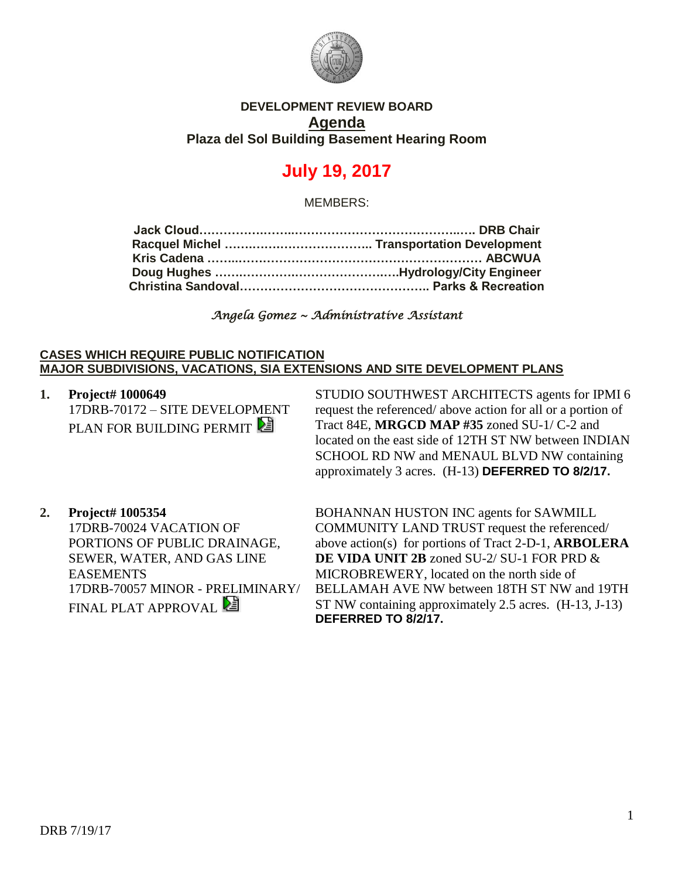

## **DEVELOPMENT REVIEW BOARD Agenda Plaza del Sol Building Basement Hearing Room**

# **July 19, 2017**

MEMBERS:

*Angela Gomez ~ Administrative Assistant* 

### **CASES WHICH REQUIRE PUBLIC NOTIFICATION MAJOR SUBDIVISIONS, VACATIONS, SIA EXTENSIONS AND SITE DEVELOPMENT PLANS**

**1. Project# 1000649** 17DRB-70172 – SITE DEVELOPMENT PLAN FOR BUILDING PERMIT

STUDIO SOUTHWEST ARCHITECTS agents for IPMI 6 request the referenced/ above action for all or a portion of Tract 84E, **MRGCD MAP #35** zoned SU-1/ C-2 and located on the east side of 12TH ST NW between INDIAN SCHOOL RD NW and MENAUL BLVD NW containing approximately 3 acres. (H-13) **DEFERRED TO 8/2/17.**

**2. Project# 1005354** 17DRB-70024 VACATION OF PORTIONS OF PUBLIC DRAINAGE, SEWER, WATER, AND GAS LINE EASEMENTS 17DRB-70057 MINOR - PRELIMINARY/ FINAL PLAT APPROVAL

BOHANNAN HUSTON INC agents for SAWMILL COMMUNITY LAND TRUST request the referenced/ above action(s) for portions of Tract 2-D-1, **ARBOLERA DE VIDA UNIT 2B** zoned SU-2/ SU-1 FOR PRD & MICROBREWERY, located on the north side of BELLAMAH AVE NW between 18TH ST NW and 19TH ST NW containing approximately 2.5 acres. (H-13, J-13) **DEFERRED TO 8/2/17.**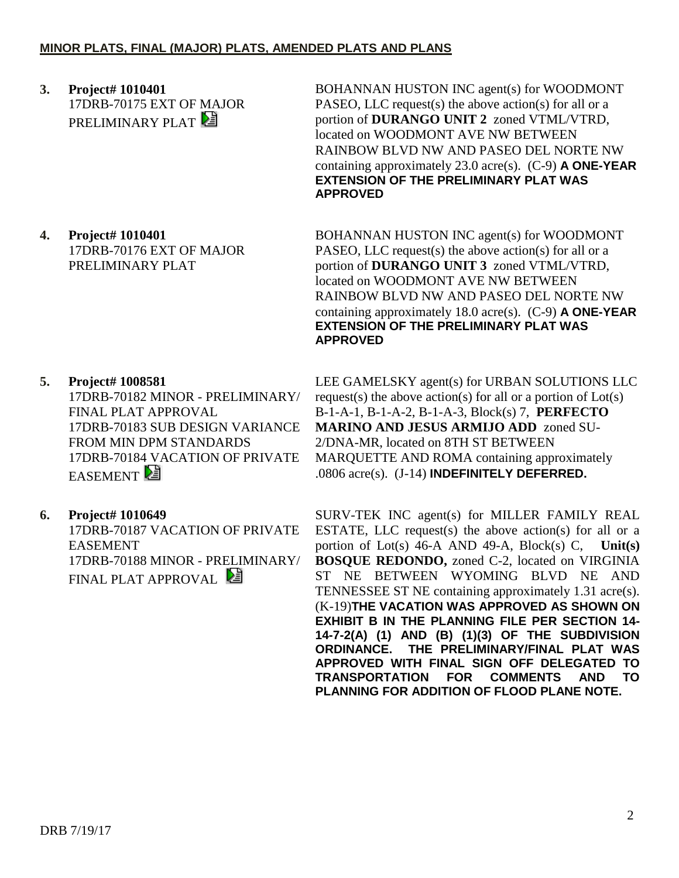**3. Project# 1010401** 17DRB-70175 EXT OF MAJOR PRELIMINARY PLAT

**4. Project# 1010401** 17DRB-70176 EXT OF MAJOR PRELIMINARY PLAT

**5. Project# 1008581**

17DRB-70182 MINOR - PRELIMINARY/ FINAL PLAT APPROVAL 17DRB-70183 SUB DESIGN VARIANCE FROM MIN DPM STANDARDS 17DRB-70184 VACATION OF PRIVATE **EASEMENT** 

**6. Project# 1010649**

17DRB-70187 VACATION OF PRIVATE EASEMENT 17DRB-70188 MINOR - PRELIMINARY/ FINAL PLAT APPROVAL

BOHANNAN HUSTON INC agent(s) for WOODMONT PASEO, LLC request(s) the above action(s) for all or a portion of **DURANGO UNIT 2** zoned VTML/VTRD, located on WOODMONT AVE NW BETWEEN RAINBOW BLVD NW AND PASEO DEL NORTE NW containing approximately 23.0 acre(s). (C-9) **A ONE-YEAR EXTENSION OF THE PRELIMINARY PLAT WAS APPROVED**

BOHANNAN HUSTON INC agent(s) for WOODMONT PASEO, LLC request(s) the above action(s) for all or a portion of **DURANGO UNIT 3** zoned VTML/VTRD, located on WOODMONT AVE NW BETWEEN RAINBOW BLVD NW AND PASEO DEL NORTE NW containing approximately 18.0 acre(s). (C-9) **A ONE-YEAR EXTENSION OF THE PRELIMINARY PLAT WAS APPROVED**

LEE GAMELSKY agent(s) for URBAN SOLUTIONS LLC request(s) the above action(s) for all or a portion of Lot(s) B-1-A-1, B-1-A-2, B-1-A-3, Block(s) 7, **PERFECTO MARINO AND JESUS ARMIJO ADD** zoned SU-2/DNA-MR, located on 8TH ST BETWEEN MARQUETTE AND ROMA containing approximately .0806 acre(s). (J-14) **INDEFINITELY DEFERRED.**

SURV-TEK INC agent(s) for MILLER FAMILY REAL ESTATE, LLC request(s) the above action(s) for all or a portion of Lot(s) 46-A AND 49-A, Block(s) C, **Unit(s) BOSQUE REDONDO,** zoned C-2, located on VIRGINIA ST NE BETWEEN WYOMING BLVD NE AND TENNESSEE ST NE containing approximately 1.31 acre(s). (K-19)**THE VACATION WAS APPROVED AS SHOWN ON EXHIBIT B IN THE PLANNING FILE PER SECTION 14- 14-7-2(A) (1) AND (B) (1)(3) OF THE SUBDIVISION ORDINANCE. THE PRELIMINARY/FINAL PLAT WAS APPROVED WITH FINAL SIGN OFF DELEGATED TO TRANSPORTATION FOR COMMENTS AND TO PLANNING FOR ADDITION OF FLOOD PLANE NOTE.**